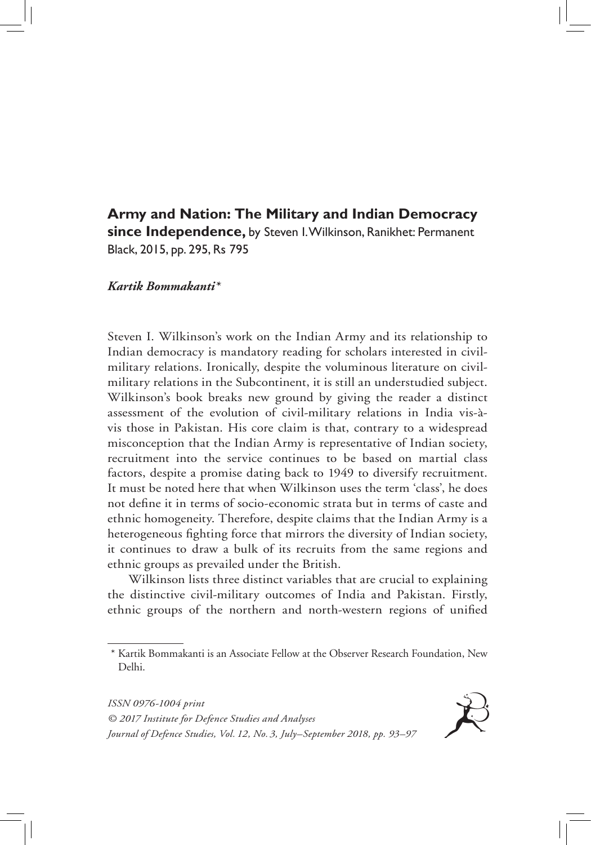# **Army and Nation: The Military and Indian Democracy since Independence,** by Steven I. Wilkinson, Ranikhet: Permanent Black, 2015, pp. 295, Rs 795

## *Kartik Bommakanti\**

Steven I. Wilkinson's work on the Indian Army and its relationship to Indian democracy is mandatory reading for scholars interested in civilmilitary relations. Ironically, despite the voluminous literature on civilmilitary relations in the Subcontinent, it is still an understudied subject. Wilkinson's book breaks new ground by giving the reader a distinct assessment of the evolution of civil-military relations in India vis-àvis those in Pakistan. His core claim is that, contrary to a widespread misconception that the Indian Army is representative of Indian society, recruitment into the service continues to be based on martial class factors, despite a promise dating back to 1949 to diversify recruitment. It must be noted here that when Wilkinson uses the term 'class', he does not define it in terms of socio-economic strata but in terms of caste and ethnic homogeneity. Therefore, despite claims that the Indian Army is a heterogeneous fighting force that mirrors the diversity of Indian society, it continues to draw a bulk of its recruits from the same regions and ethnic groups as prevailed under the British.

Wilkinson lists three distinct variables that are crucial to explaining the distinctive civil-military outcomes of India and Pakistan. Firstly, ethnic groups of the northern and north-western regions of unified



<sup>\*</sup> Kartik Bommakanti is an Associate Fellow at the Observer Research Foundation, New Delhi.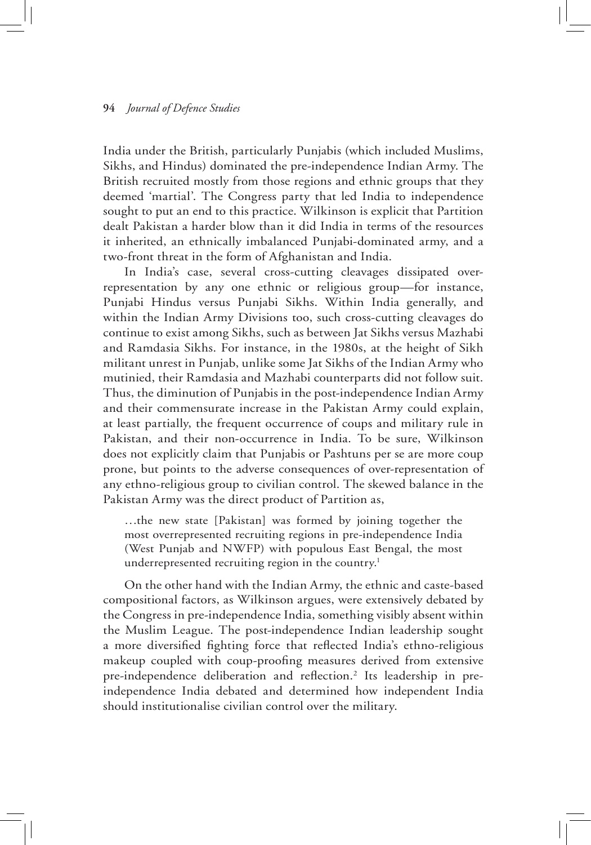#### **94** *Journal of Defence Studies*

India under the British, particularly Punjabis (which included Muslims, Sikhs, and Hindus) dominated the pre-independence Indian Army. The British recruited mostly from those regions and ethnic groups that they deemed 'martial'. The Congress party that led India to independence sought to put an end to this practice. Wilkinson is explicit that Partition dealt Pakistan a harder blow than it did India in terms of the resources it inherited, an ethnically imbalanced Punjabi-dominated army, and a two-front threat in the form of Afghanistan and India.

In India's case, several cross-cutting cleavages dissipated overrepresentation by any one ethnic or religious group—for instance, Punjabi Hindus versus Punjabi Sikhs. Within India generally, and within the Indian Army Divisions too, such cross-cutting cleavages do continue to exist among Sikhs, such as between Jat Sikhs versus Mazhabi and Ramdasia Sikhs. For instance, in the 1980s, at the height of Sikh militant unrest in Punjab, unlike some Jat Sikhs of the Indian Army who mutinied, their Ramdasia and Mazhabi counterparts did not follow suit. Thus, the diminution of Punjabis in the post-independence Indian Army and their commensurate increase in the Pakistan Army could explain, at least partially, the frequent occurrence of coups and military rule in Pakistan, and their non-occurrence in India. To be sure, Wilkinson does not explicitly claim that Punjabis or Pashtuns per se are more coup prone, but points to the adverse consequences of over-representation of any ethno-religious group to civilian control. The skewed balance in the Pakistan Army was the direct product of Partition as,

…the new state [Pakistan] was formed by joining together the most overrepresented recruiting regions in pre-independence India (West Punjab and NWFP) with populous East Bengal, the most underrepresented recruiting region in the country.<sup>1</sup>

On the other hand with the Indian Army, the ethnic and caste-based compositional factors, as Wilkinson argues, were extensively debated by the Congress in pre-independence India, something visibly absent within the Muslim League. The post-independence Indian leadership sought a more diversified fighting force that reflected India's ethno-religious makeup coupled with coup-proofing measures derived from extensive pre-independence deliberation and reflection.<sup>2</sup> Its leadership in preindependence India debated and determined how independent India should institutionalise civilian control over the military.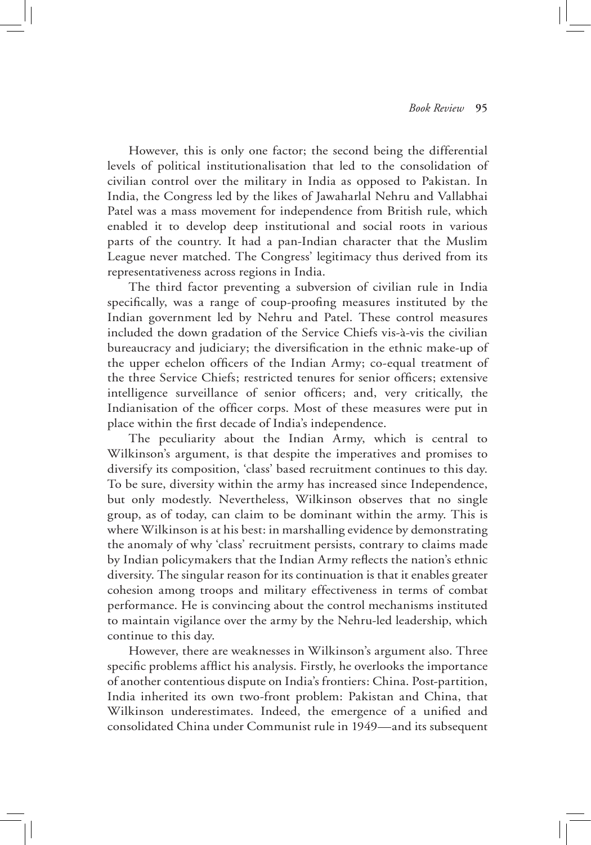However, this is only one factor; the second being the differential levels of political institutionalisation that led to the consolidation of civilian control over the military in India as opposed to Pakistan. In India, the Congress led by the likes of Jawaharlal Nehru and Vallabhai Patel was a mass movement for independence from British rule, which enabled it to develop deep institutional and social roots in various parts of the country. It had a pan-Indian character that the Muslim League never matched. The Congress' legitimacy thus derived from its representativeness across regions in India.

The third factor preventing a subversion of civilian rule in India specifically, was a range of coup-proofing measures instituted by the Indian government led by Nehru and Patel. These control measures included the down gradation of the Service Chiefs vis-à-vis the civilian bureaucracy and judiciary; the diversification in the ethnic make-up of the upper echelon officers of the Indian Army; co-equal treatment of the three Service Chiefs; restricted tenures for senior officers; extensive intelligence surveillance of senior officers; and, very critically, the Indianisation of the officer corps. Most of these measures were put in place within the first decade of India's independence.

The peculiarity about the Indian Army, which is central to Wilkinson's argument, is that despite the imperatives and promises to diversify its composition, 'class' based recruitment continues to this day. To be sure, diversity within the army has increased since Independence, but only modestly. Nevertheless, Wilkinson observes that no single group, as of today, can claim to be dominant within the army. This is where Wilkinson is at his best: in marshalling evidence by demonstrating the anomaly of why 'class' recruitment persists, contrary to claims made by Indian policymakers that the Indian Army reflects the nation's ethnic diversity. The singular reason for its continuation is that it enables greater cohesion among troops and military effectiveness in terms of combat performance. He is convincing about the control mechanisms instituted to maintain vigilance over the army by the Nehru-led leadership, which continue to this day.

However, there are weaknesses in Wilkinson's argument also. Three specific problems afflict his analysis. Firstly, he overlooks the importance of another contentious dispute on India's frontiers: China. Post-partition, India inherited its own two-front problem: Pakistan and China, that Wilkinson underestimates. Indeed, the emergence of a unified and consolidated China under Communist rule in 1949—and its subsequent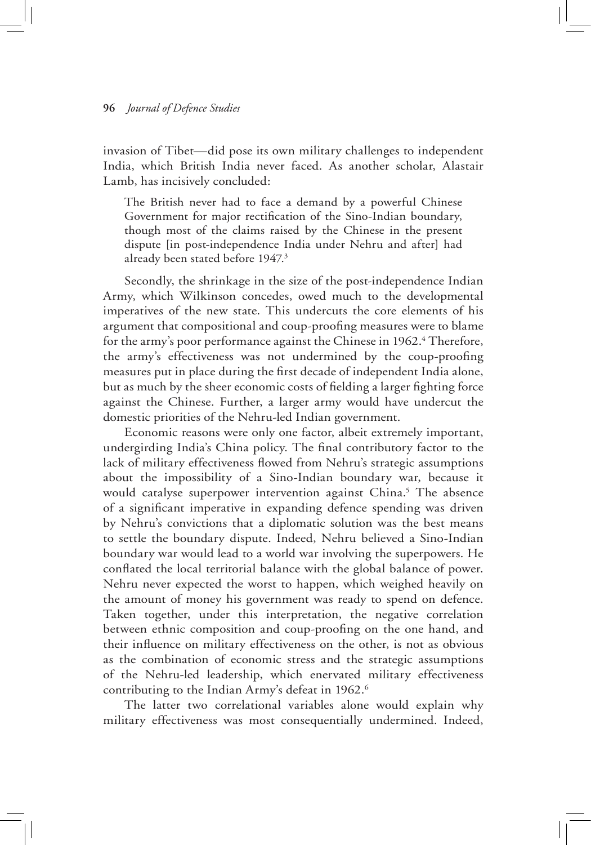#### **96** *Journal of Defence Studies*

invasion of Tibet—did pose its own military challenges to independent India, which British India never faced. As another scholar, Alastair Lamb, has incisively concluded:

The British never had to face a demand by a powerful Chinese Government for major rectification of the Sino-Indian boundary, though most of the claims raised by the Chinese in the present dispute [in post-independence India under Nehru and after] had already been stated before 1947.3

Secondly, the shrinkage in the size of the post-independence Indian Army, which Wilkinson concedes, owed much to the developmental imperatives of the new state. This undercuts the core elements of his argument that compositional and coup-proofing measures were to blame for the army's poor performance against the Chinese in 1962.<sup>4</sup> Therefore, the army's effectiveness was not undermined by the coup-proofing measures put in place during the first decade of independent India alone, but as much by the sheer economic costs of fielding a larger fighting force against the Chinese. Further, a larger army would have undercut the domestic priorities of the Nehru-led Indian government.

Economic reasons were only one factor, albeit extremely important, undergirding India's China policy. The final contributory factor to the lack of military effectiveness flowed from Nehru's strategic assumptions about the impossibility of a Sino-Indian boundary war, because it would catalyse superpower intervention against China.<sup>5</sup> The absence of a significant imperative in expanding defence spending was driven by Nehru's convictions that a diplomatic solution was the best means to settle the boundary dispute. Indeed, Nehru believed a Sino-Indian boundary war would lead to a world war involving the superpowers. He conflated the local territorial balance with the global balance of power. Nehru never expected the worst to happen, which weighed heavily on the amount of money his government was ready to spend on defence. Taken together, under this interpretation, the negative correlation between ethnic composition and coup-proofing on the one hand, and their influence on military effectiveness on the other, is not as obvious as the combination of economic stress and the strategic assumptions of the Nehru-led leadership, which enervated military effectiveness contributing to the Indian Army's defeat in 1962.<sup>6</sup>

The latter two correlational variables alone would explain why military effectiveness was most consequentially undermined. Indeed,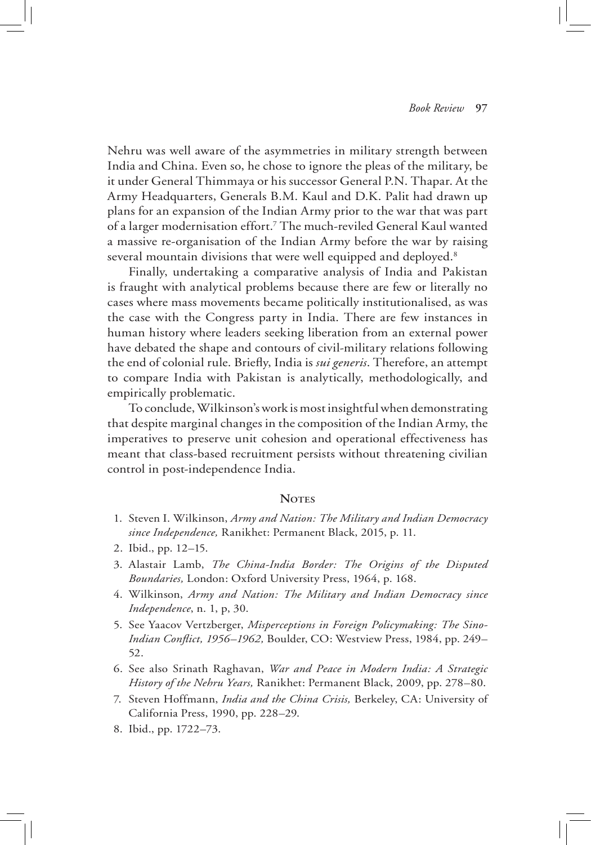Nehru was well aware of the asymmetries in military strength between India and China. Even so, he chose to ignore the pleas of the military, be it under General Thimmaya or his successor General P.N. Thapar. At the Army Headquarters, Generals B.M. Kaul and D.K. Palit had drawn up plans for an expansion of the Indian Army prior to the war that was part of a larger modernisation effort.7 The much-reviled General Kaul wanted a massive re-organisation of the Indian Army before the war by raising several mountain divisions that were well equipped and deployed.<sup>8</sup>

Finally, undertaking a comparative analysis of India and Pakistan is fraught with analytical problems because there are few or literally no cases where mass movements became politically institutionalised, as was the case with the Congress party in India. There are few instances in human history where leaders seeking liberation from an external power have debated the shape and contours of civil-military relations following the end of colonial rule. Briefly, India is *sui generis*. Therefore, an attempt to compare India with Pakistan is analytically, methodologically, and empirically problematic.

To conclude, Wilkinson's work is most insightful when demonstrating that despite marginal changes in the composition of the Indian Army, the imperatives to preserve unit cohesion and operational effectiveness has meant that class-based recruitment persists without threatening civilian control in post-independence India.

## NOTES

- 1. Steven I. Wilkinson, *Army and Nation: The Military and Indian Democracy since Independence,* Ranikhet: Permanent Black, 2015, p. 11.
- 2. Ibid., pp. 12–15.
- 3. Alastair Lamb, *The China-India Border: The Origins of the Disputed Boundaries,* London: Oxford University Press, 1964, p. 168.
- 4. Wilkinson, *Army and Nation: The Military and Indian Democracy since Independence*, n. 1, p, 30.
- 5. See Yaacov Vertzberger, *Misperceptions in Foreign Policymaking: The Sino-Indian Conflict, 1956–1962,* Boulder, CO: Westview Press, 1984, pp. 249– 52.
- 6. See also Srinath Raghavan, *War and Peace in Modern India: A Strategic History of the Nehru Years,* Ranikhet: Permanent Black, 2009, pp. 278–80.
- 7. Steven Hoffmann, *India and the China Crisis,* Berkeley, CA: University of California Press, 1990, pp. 228–29.
- 8. Ibid., pp. 1722–73.